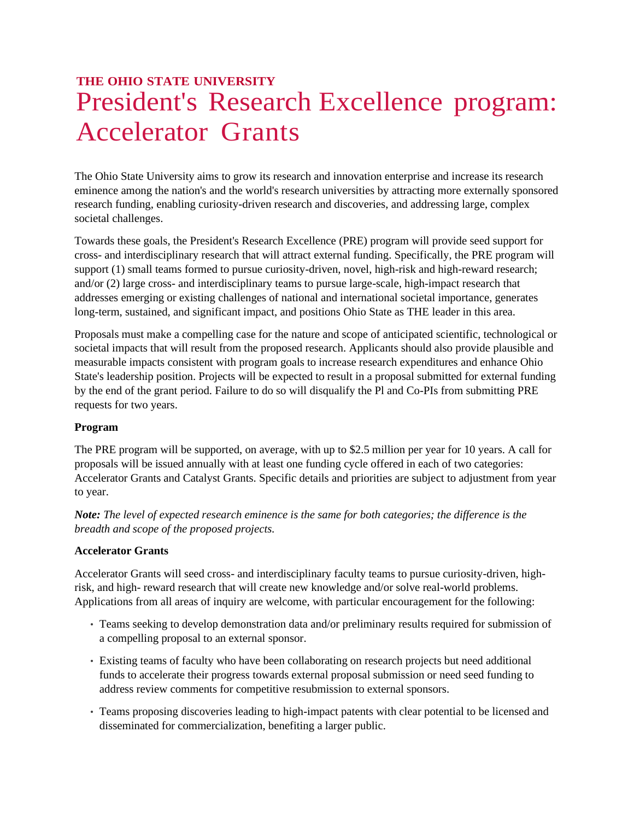# **THE OHIO STATE UNIVERSITY** President's Research Excellence program: Accelerator Grants

The Ohio State University aims to grow its research and innovation enterprise and increase its research eminence among the nation's and the world's research universities by attracting more externally sponsored research funding, enabling curiosity-driven research and discoveries, and addressing large, complex societal challenges.

Towards these goals, the President's Research Excellence (PRE) program will provide seed support for cross- and interdisciplinary research that will attract external funding. Specifically, the PRE program will support (1) small teams formed to pursue curiosity-driven, novel, high-risk and high-reward research; and/or (2) large cross- and interdisciplinary teams to pursue large-scale, high-impact research that addresses emerging or existing challenges of national and international societal importance, generates long-term, sustained, and significant impact, and positions Ohio State as THE leader in this area.

Proposals must make a compelling case for the nature and scope of anticipated scientific, technological or societal impacts that will result from the proposed research. Applicants should also provide plausible and measurable impacts consistent with program goals to increase research expenditures and enhance Ohio State's leadership position. Projects will be expected to result in a proposal submitted for external funding by the end of the grant period. Failure to do so will disqualify the Pl and Co-PIs from submitting PRE requests for two years.

# **Program**

The PRE program will be supported, on average, with up to \$2.5 million per year for 10 years. A call for proposals will be issued annually with at least one funding cycle offered in each of two categories: Accelerator Grants and Catalyst Grants. Specific details and priorities are subject to adjustment from year to year.

*Note: The level of expected research eminence is the same for both categories; the difference is the breadth and scope of the proposed projects.*

#### **Accelerator Grants**

Accelerator Grants will seed cross- and interdisciplinary faculty teams to pursue curiosity-driven, highrisk, and high- reward research that will create new knowledge and/or solve real-world problems. Applications from all areas of inquiry are welcome, with particular encouragement for the following:

- Teams seeking to develop demonstration data and/or preliminary results required for submission of a compelling proposal to an external sponsor.
- Existing teams of faculty who have been collaborating on research projects but need additional funds to accelerate their progress towards external proposal submission or need seed funding to address review comments for competitive resubmission to external sponsors.
- Teams proposing discoveries leading to high-impact patents with clear potential to be licensed and disseminated for commercialization, benefiting a larger public.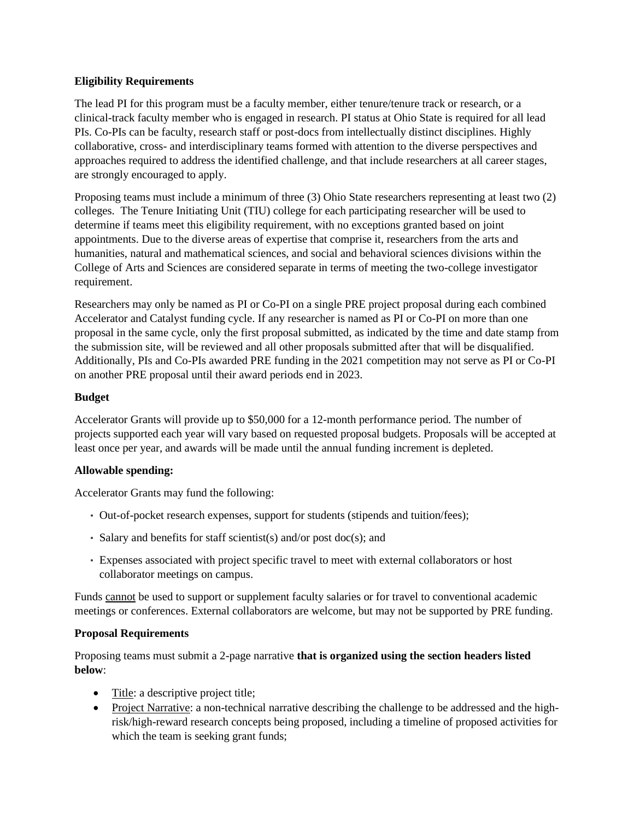### **Eligibility Requirements**

The lead PI for this program must be a faculty member, either tenure/tenure track or research, or a clinical-track faculty member who is engaged in research. PI status at Ohio State is required for all lead PIs. Co-PIs can be faculty, research staff or post-docs from intellectually distinct disciplines. Highly collaborative, cross- and interdisciplinary teams formed with attention to the diverse perspectives and approaches required to address the identified challenge, and that include researchers at all career stages, are strongly encouraged to apply.

Proposing teams must include a minimum of three (3) Ohio State researchers representing at least two (2) colleges. The Tenure Initiating Unit (TIU) college for each participating researcher will be used to determine if teams meet this eligibility requirement, with no exceptions granted based on joint appointments. Due to the diverse areas of expertise that comprise it, researchers from the arts and humanities, natural and mathematical sciences, and social and behavioral sciences divisions within the College of Arts and Sciences are considered separate in terms of meeting the two-college investigator requirement.

Researchers may only be named as PI or Co-PI on a single PRE project proposal during each combined Accelerator and Catalyst funding cycle. If any researcher is named as PI or Co-PI on more than one proposal in the same cycle, only the first proposal submitted, as indicated by the time and date stamp from the submission site, will be reviewed and all other proposals submitted after that will be disqualified. Additionally, PIs and Co-PIs awarded PRE funding in the 2021 competition may not serve as PI or Co-PI on another PRE proposal until their award periods end in 2023.

### **Budget**

Accelerator Grants will provide up to \$50,000 for a 12-month performance period. The number of projects supported each year will vary based on requested proposal budgets. Proposals will be accepted at least once per year, and awards will be made until the annual funding increment is depleted.

# **Allowable spending:**

Accelerator Grants may fund the following:

- Out-of-pocket research expenses, support for students (stipends and tuition/fees);
- Salary and benefits for staff scientist(s) and/or post doc(s); and
- Expenses associated with project specific travel to meet with external collaborators or host collaborator meetings on campus.

Funds cannot be used to support or supplement faculty salaries or for travel to conventional academic meetings or conferences. External collaborators are welcome, but may not be supported by PRE funding.

# **Proposal Requirements**

Proposing teams must submit a 2-page narrative **that is organized using the section headers listed below**:

- Title: a descriptive project title;
- Project Narrative: a non-technical narrative describing the challenge to be addressed and the highrisk/high-reward research concepts being proposed, including a timeline of proposed activities for which the team is seeking grant funds;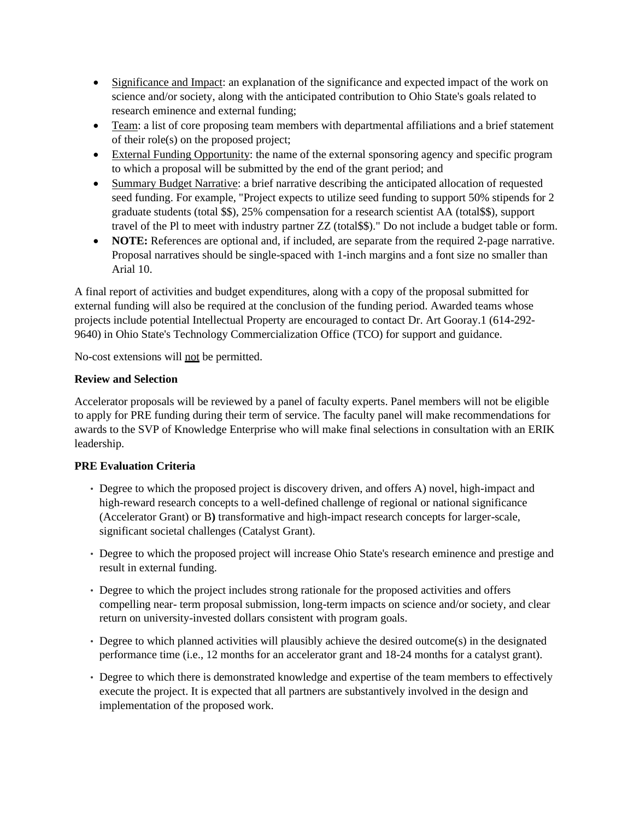- Significance and Impact: an explanation of the significance and expected impact of the work on science and/or society, along with the anticipated contribution to Ohio State's goals related to research eminence and external funding;
- Team: a list of core proposing team members with departmental affiliations and a brief statement of their role(s) on the proposed project;
- External Funding Opportunity: the name of the external sponsoring agency and specific program to which a proposal will be submitted by the end of the grant period; and
- Summary Budget Narrative: a brief narrative describing the anticipated allocation of requested seed funding. For example, "Project expects to utilize seed funding to support 50% stipends for 2 graduate students (total \$\$), 25% compensation for a research scientist AA (total\$\$), support travel of the Pl to meet with industry partner ZZ (total\$\$)." Do not include a budget table or form.
- **NOTE:** References are optional and, if included, are separate from the required 2-page narrative. Proposal narratives should be single-spaced with 1-inch margins and a font size no smaller than Arial 10.

A final report of activities and budget expenditures, along with a copy of the proposal submitted for external funding will also be required at the conclusion of the funding period. Awarded teams whose projects include potential Intellectual Property are encouraged to contact Dr. Art Gooray.1 (614-292- 9640) in Ohio State's Technology Commercialization Office (TCO) for support and guidance.

No-cost extensions will not be permitted.

### **Review and Selection**

Accelerator proposals will be reviewed by a panel of faculty experts. Panel members will not be eligible to apply for PRE funding during their term of service. The faculty panel will make recommendations for awards to the SVP of Knowledge Enterprise who will make final selections in consultation with an ERIK leadership.

# **PRE Evaluation Criteria**

- Degree to which the proposed project is discovery driven, and offers A) novel, high-impact and high-reward research concepts to a well-defined challenge of regional or national significance (Accelerator Grant) or B**)** transformative and high-impact research concepts for larger-scale, significant societal challenges (Catalyst Grant).
- Degree to which the proposed project will increase Ohio State's research eminence and prestige and result in external funding.
- Degree to which the project includes strong rationale for the proposed activities and offers compelling near- term proposal submission, long-term impacts on science and/or society, and clear return on university-invested dollars consistent with program goals.
- Degree to which planned activities will plausibly achieve the desired outcome(s) in the designated performance time (i.e., 12 months for an accelerator grant and 18-24 months for a catalyst grant).
- Degree to which there is demonstrated knowledge and expertise of the team members to effectively execute the project. It is expected that all partners are substantively involved in the design and implementation of the proposed work.